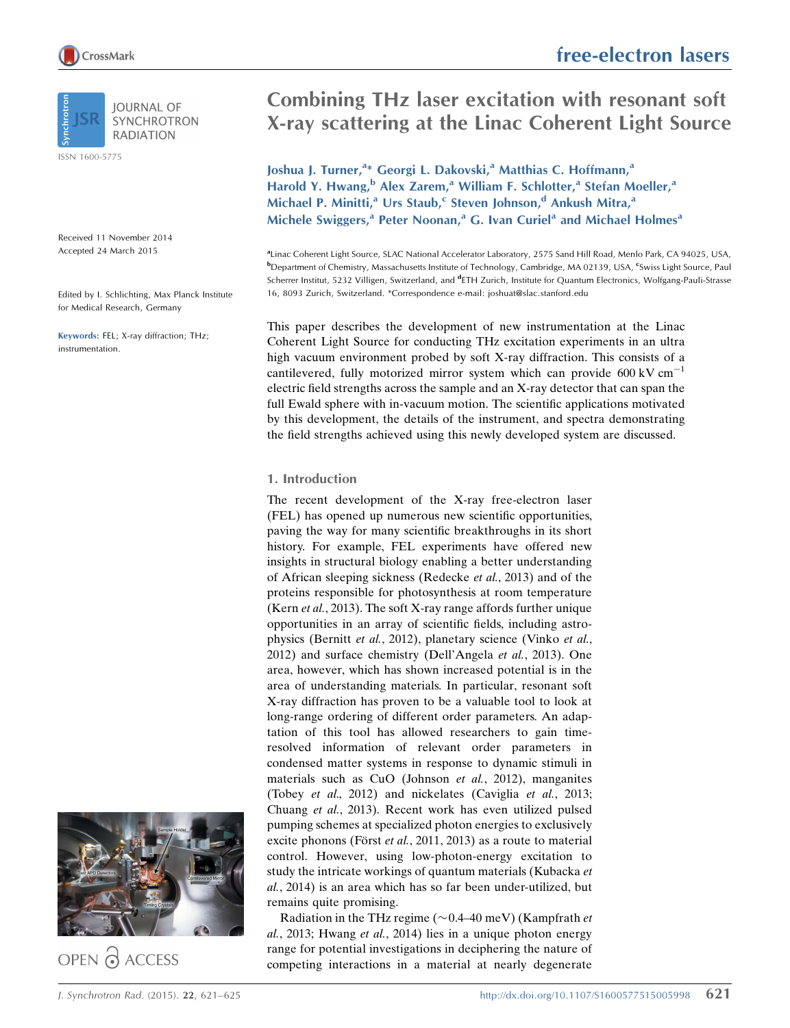**IOURNAL OF SYNCHROTRON RADIATION** 

ISSN 1600-5775

Received 11 November 2014 Accepted 24 March 2015

Edited by I. Schlichting, Max Planck Institute for Medical Research, Germany

Keywords: FEL; X-ray diffraction; THz; instrumentation.



OPEN @ ACCESS

# free-electron lasers

# Combining THz laser excitation with resonant soft X-ray scattering at the Linac Coherent Light Source

Joshua J. Turner,<sup>a\*</sup> Georgi L. Dakovski,<sup>a</sup> Matthias C. Hoffmann,<sup>a</sup> Harold Y. Hwang,<sup>b</sup> Alex Zarem,<sup>a</sup> William F. Schlotter,<sup>a</sup> Stefan Moeller,<sup>a</sup> Michael P. Minitti,<sup>a</sup> Urs Staub,<sup>c</sup> Steven Johnson,<sup>d</sup> Ankush Mitra,<sup>a</sup> Michele Swiggers,<sup>a</sup> Peter Noonan,<sup>a</sup> G. Ivan Curiel<sup>a</sup> and Michael Holmes<sup>a</sup>

a Linac Coherent Light Source, SLAC National Accelerator Laboratory, 2575 Sand Hill Road, Menlo Park, CA 94025, USA, **b**Department of Chemistry, Massachusetts Institute of Technology, Cambridge, MA 02139, USA, <sup>e</sup>Swiss Light Source, Paul Scherrer Institut, 5232 Villigen, Switzerland, and <sup>d</sup>ETH Zurich, Institute for Quantum Electronics, Wolfgang-Pauli-Strasse 16, 8093 Zurich, Switzerland. \*Correspondence e-mail: joshuat@slac.stanford.edu

This paper describes the development of new instrumentation at the Linac Coherent Light Source for conducting THz excitation experiments in an ultra high vacuum environment probed by soft X-ray diffraction. This consists of a cantilevered, fully motorized mirror system which can provide  $600 \text{ kV cm}^{-1}$ electric field strengths across the sample and an X-ray detector that can span the full Ewald sphere with in-vacuum motion. The scientific applications motivated by this development, the details of the instrument, and spectra demonstrating the field strengths achieved using this newly developed system are discussed.

# 1. Introduction

The recent development of the X-ray free-electron laser (FEL) has opened up numerous new scientific opportunities, paving the way for many scientific breakthroughs in its short history. For example, FEL experiments have offered new insights in structural biology enabling a better understanding of African sleeping sickness (Redecke et al., 2013) and of the proteins responsible for photosynthesis at room temperature (Kern et al., 2013). The soft X-ray range affords further unique opportunities in an array of scientific fields, including astrophysics (Bernitt et al., 2012), planetary science (Vinko et al., 2012) and surface chemistry (Dell'Angela et al., 2013). One area, however, which has shown increased potential is in the area of understanding materials. In particular, resonant soft X-ray diffraction has proven to be a valuable tool to look at long-range ordering of different order parameters. An adaptation of this tool has allowed researchers to gain timeresolved information of relevant order parameters in condensed matter systems in response to dynamic stimuli in materials such as CuO (Johnson et al., 2012), manganites (Tobey et al., 2012) and nickelates (Caviglia et al., 2013; Chuang et al., 2013). Recent work has even utilized pulsed pumping schemes at specialized photon energies to exclusively excite phonons (Först et al., 2011, 2013) as a route to material control. However, using low-photon-energy excitation to study the intricate workings of quantum materials (Kubacka et al., 2014) is an area which has so far been under-utilized, but remains quite promising.

Radiation in the THz regime ( $\sim$  0.4–40 meV) (Kampfrath et al., 2013; Hwang et al., 2014) lies in a unique photon energy range for potential investigations in deciphering the nature of competing interactions in a material at nearly degenerate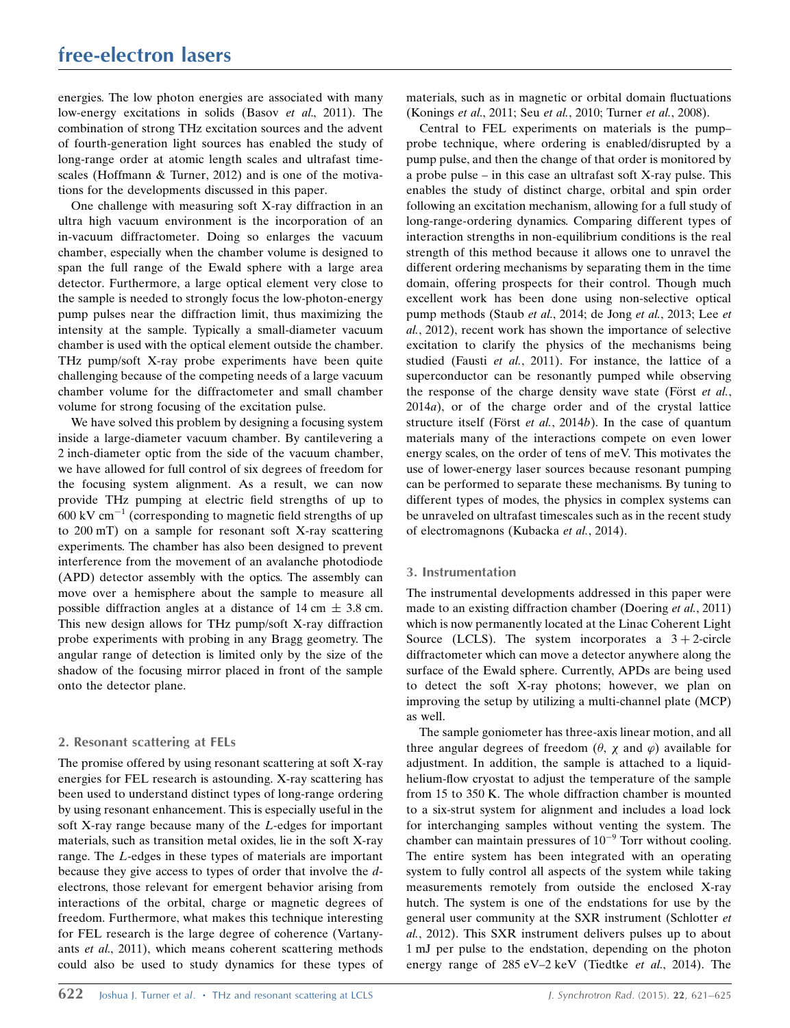energies. The low photon energies are associated with many low-energy excitations in solids (Basov et al., 2011). The combination of strong THz excitation sources and the advent of fourth-generation light sources has enabled the study of long-range order at atomic length scales and ultrafast timescales (Hoffmann & Turner, 2012) and is one of the motivations for the developments discussed in this paper.

One challenge with measuring soft X-ray diffraction in an ultra high vacuum environment is the incorporation of an in-vacuum diffractometer. Doing so enlarges the vacuum chamber, especially when the chamber volume is designed to span the full range of the Ewald sphere with a large area detector. Furthermore, a large optical element very close to the sample is needed to strongly focus the low-photon-energy pump pulses near the diffraction limit, thus maximizing the intensity at the sample. Typically a small-diameter vacuum chamber is used with the optical element outside the chamber. THz pump/soft X-ray probe experiments have been quite challenging because of the competing needs of a large vacuum chamber volume for the diffractometer and small chamber volume for strong focusing of the excitation pulse.

We have solved this problem by designing a focusing system inside a large-diameter vacuum chamber. By cantilevering a 2 inch-diameter optic from the side of the vacuum chamber, we have allowed for full control of six degrees of freedom for the focusing system alignment. As a result, we can now provide THz pumping at electric field strengths of up to  $600 \text{ kV cm}^{-1}$  (corresponding to magnetic field strengths of up to 200 mT) on a sample for resonant soft X-ray scattering experiments. The chamber has also been designed to prevent interference from the movement of an avalanche photodiode (APD) detector assembly with the optics. The assembly can move over a hemisphere about the sample to measure all possible diffraction angles at a distance of 14 cm  $\pm$  3.8 cm. This new design allows for THz pump/soft X-ray diffraction probe experiments with probing in any Bragg geometry. The angular range of detection is limited only by the size of the shadow of the focusing mirror placed in front of the sample onto the detector plane.

# 2. Resonant scattering at FELs

The promise offered by using resonant scattering at soft X-ray energies for FEL research is astounding. X-ray scattering has been used to understand distinct types of long-range ordering by using resonant enhancement. This is especially useful in the soft X-ray range because many of the L-edges for important materials, such as transition metal oxides, lie in the soft X-ray range. The L-edges in these types of materials are important because they give access to types of order that involve the delectrons, those relevant for emergent behavior arising from interactions of the orbital, charge or magnetic degrees of freedom. Furthermore, what makes this technique interesting for FEL research is the large degree of coherence (Vartanyants et al., 2011), which means coherent scattering methods could also be used to study dynamics for these types of materials, such as in magnetic or orbital domain fluctuations (Konings et al., 2011; Seu et al., 2010; Turner et al., 2008).

Central to FEL experiments on materials is the pump– probe technique, where ordering is enabled/disrupted by a pump pulse, and then the change of that order is monitored by a probe pulse – in this case an ultrafast soft X-ray pulse. This enables the study of distinct charge, orbital and spin order following an excitation mechanism, allowing for a full study of long-range-ordering dynamics. Comparing different types of interaction strengths in non-equilibrium conditions is the real strength of this method because it allows one to unravel the different ordering mechanisms by separating them in the time domain, offering prospects for their control. Though much excellent work has been done using non-selective optical pump methods (Staub et al., 2014; de Jong et al., 2013; Lee et al., 2012), recent work has shown the importance of selective excitation to clarify the physics of the mechanisms being studied (Fausti et al., 2011). For instance, the lattice of a superconductor can be resonantly pumped while observing the response of the charge density wave state (Först  $et al.,$ 2014a), or of the charge order and of the crystal lattice structure itself (Först et al., 2014b). In the case of quantum materials many of the interactions compete on even lower energy scales, on the order of tens of meV. This motivates the use of lower-energy laser sources because resonant pumping can be performed to separate these mechanisms. By tuning to different types of modes, the physics in complex systems can be unraveled on ultrafast timescales such as in the recent study of electromagnons (Kubacka et al., 2014).

# 3. Instrumentation

The instrumental developments addressed in this paper were made to an existing diffraction chamber (Doering et al., 2011) which is now permanently located at the Linac Coherent Light Source (LCLS). The system incorporates a  $3 + 2$ -circle diffractometer which can move a detector anywhere along the surface of the Ewald sphere. Currently, APDs are being used to detect the soft X-ray photons; however, we plan on improving the setup by utilizing a multi-channel plate (MCP) as well.

The sample goniometer has three-axis linear motion, and all three angular degrees of freedom ( $\theta$ ,  $\chi$  and  $\varphi$ ) available for adjustment. In addition, the sample is attached to a liquidhelium-flow cryostat to adjust the temperature of the sample from 15 to 350 K. The whole diffraction chamber is mounted to a six-strut system for alignment and includes a load lock for interchanging samples without venting the system. The chamber can maintain pressures of  $10^{-9}$  Torr without cooling. The entire system has been integrated with an operating system to fully control all aspects of the system while taking measurements remotely from outside the enclosed X-ray hutch. The system is one of the endstations for use by the general user community at the SXR instrument (Schlotter et al., 2012). This SXR instrument delivers pulses up to about 1 mJ per pulse to the endstation, depending on the photon energy range of 285 eV–2 keV (Tiedtke et al., 2014). The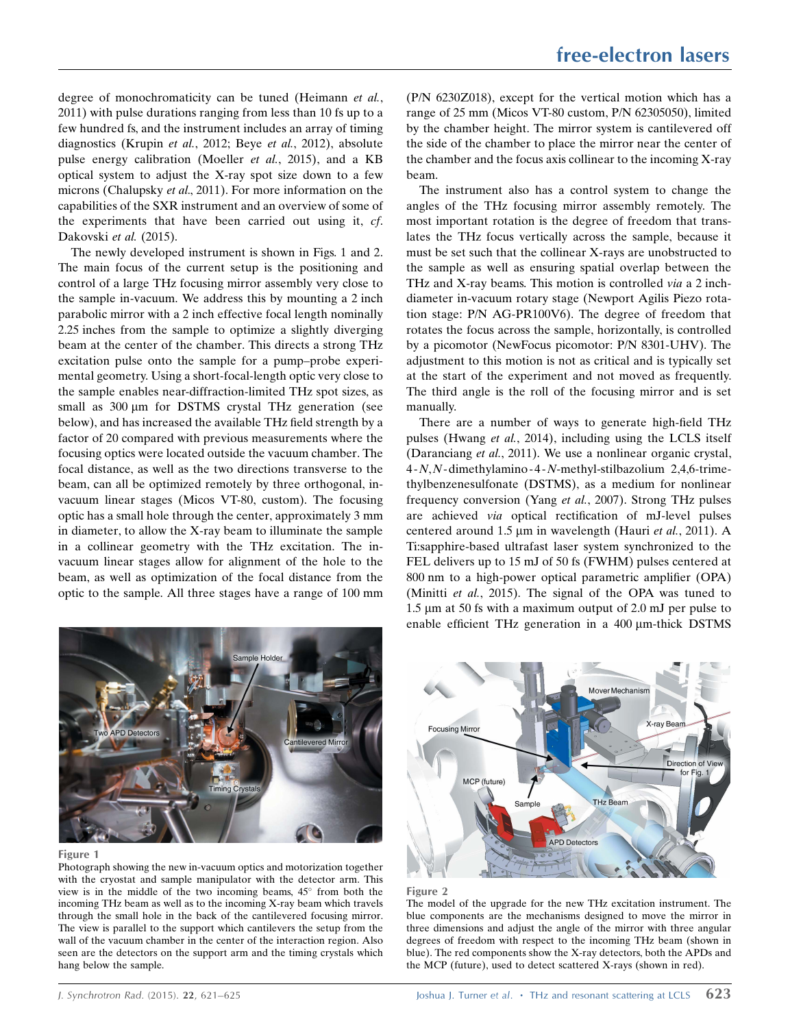degree of monochromaticity can be tuned (Heimann et al., 2011) with pulse durations ranging from less than 10 fs up to a few hundred fs, and the instrument includes an array of timing diagnostics (Krupin et al., 2012; Beye et al., 2012), absolute pulse energy calibration (Moeller et al., 2015), and a KB optical system to adjust the X-ray spot size down to a few microns (Chalupsky et al., 2011). For more information on the capabilities of the SXR instrument and an overview of some of the experiments that have been carried out using it, cf. Dakovski et al. (2015).

The newly developed instrument is shown in Figs. 1 and 2. The main focus of the current setup is the positioning and control of a large THz focusing mirror assembly very close to the sample in-vacuum. We address this by mounting a 2 inch parabolic mirror with a 2 inch effective focal length nominally 2.25 inches from the sample to optimize a slightly diverging beam at the center of the chamber. This directs a strong THz excitation pulse onto the sample for a pump–probe experimental geometry. Using a short-focal-length optic very close to the sample enables near-diffraction-limited THz spot sizes, as small as  $300 \mu m$  for DSTMS crystal THz generation (see below), and has increased the available THz field strength by a factor of 20 compared with previous measurements where the focusing optics were located outside the vacuum chamber. The focal distance, as well as the two directions transverse to the beam, can all be optimized remotely by three orthogonal, invacuum linear stages (Micos VT-80, custom). The focusing optic has a small hole through the center, approximately 3 mm in diameter, to allow the X-ray beam to illuminate the sample in a collinear geometry with the THz excitation. The invacuum linear stages allow for alignment of the hole to the beam, as well as optimization of the focal distance from the optic to the sample. All three stages have a range of 100 mm



#### Figure 1

Photograph showing the new in-vacuum optics and motorization together with the cryostat and sample manipulator with the detector arm. This view is in the middle of the two incoming beams,  $45^{\circ}$  from both the incoming THz beam as well as to the incoming X-ray beam which travels through the small hole in the back of the cantilevered focusing mirror. The view is parallel to the support which cantilevers the setup from the wall of the vacuum chamber in the center of the interaction region. Also seen are the detectors on the support arm and the timing crystals which hang below the sample.

(P/N 6230Z018), except for the vertical motion which has a range of 25 mm (Micos VT-80 custom, P/N 62305050), limited by the chamber height. The mirror system is cantilevered off the side of the chamber to place the mirror near the center of the chamber and the focus axis collinear to the incoming X-ray beam.

The instrument also has a control system to change the angles of the THz focusing mirror assembly remotely. The most important rotation is the degree of freedom that translates the THz focus vertically across the sample, because it must be set such that the collinear X-rays are unobstructed to the sample as well as ensuring spatial overlap between the THz and X-ray beams. This motion is controlled *via* a 2 inchdiameter in-vacuum rotary stage (Newport Agilis Piezo rotation stage: P/N AG-PR100V6). The degree of freedom that rotates the focus across the sample, horizontally, is controlled by a picomotor (NewFocus picomotor: P/N 8301-UHV). The adjustment to this motion is not as critical and is typically set at the start of the experiment and not moved as frequently. The third angle is the roll of the focusing mirror and is set manually.

There are a number of ways to generate high-field THz pulses (Hwang et al., 2014), including using the LCLS itself (Daranciang et al., 2011). We use a nonlinear organic crystal, 4 -N,N-dimethylamino -4 -N-methyl-stilbazolium 2,4,6-trimethylbenzenesulfonate (DSTMS), as a medium for nonlinear frequency conversion (Yang et al., 2007). Strong THz pulses are achieved via optical rectification of mJ-level pulses centered around 1.5  $\mu$ m in wavelength (Hauri et al., 2011). A Ti:sapphire-based ultrafast laser system synchronized to the FEL delivers up to 15 mJ of 50 fs (FWHM) pulses centered at 800 nm to a high-power optical parametric amplifier (OPA) (Minitti et al., 2015). The signal of the OPA was tuned to 1.5  $\mu$ m at 50 fs with a maximum output of 2.0 mJ per pulse to enable efficient THz generation in a  $400 \mu m$ -thick DSTMS





The model of the upgrade for the new THz excitation instrument. The blue components are the mechanisms designed to move the mirror in three dimensions and adjust the angle of the mirror with three angular degrees of freedom with respect to the incoming THz beam (shown in blue). The red components show the X-ray detectors, both the APDs and the MCP (future), used to detect scattered X-rays (shown in red).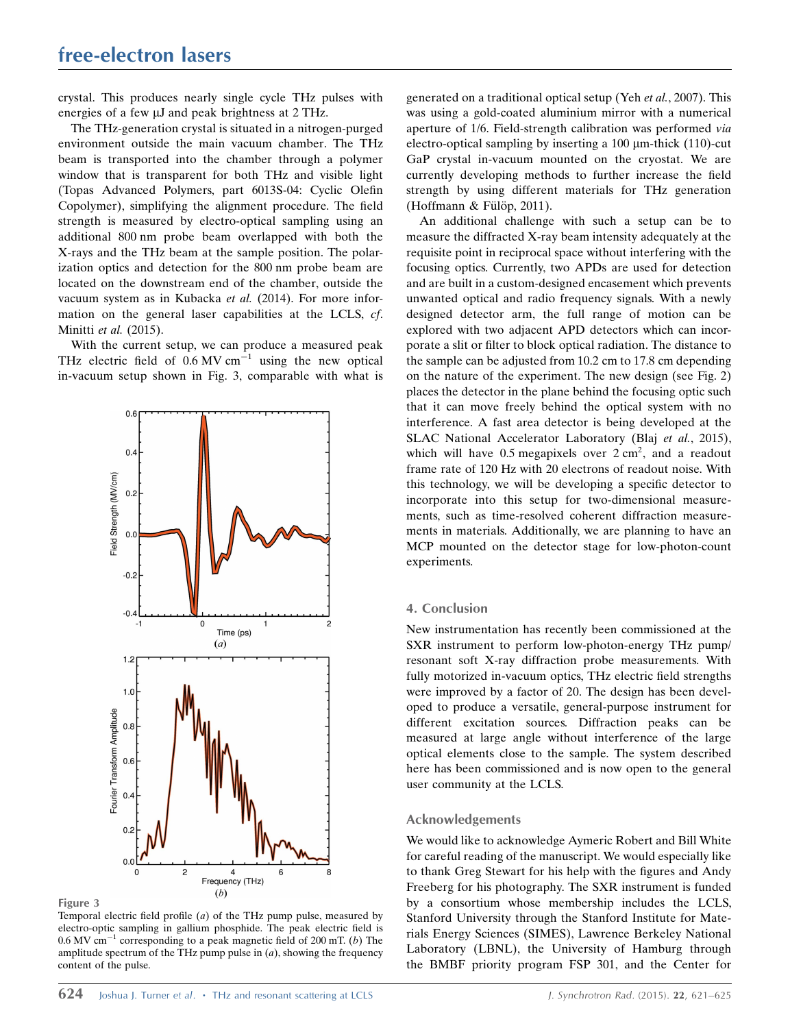crystal. This produces nearly single cycle THz pulses with energies of a few  $\mu$ J and peak brightness at 2 THz.

The THz-generation crystal is situated in a nitrogen-purged environment outside the main vacuum chamber. The THz beam is transported into the chamber through a polymer window that is transparent for both THz and visible light (Topas Advanced Polymers, part 6013S-04: Cyclic Olefin Copolymer), simplifying the alignment procedure. The field strength is measured by electro-optical sampling using an additional 800 nm probe beam overlapped with both the X-rays and the THz beam at the sample position. The polarization optics and detection for the 800 nm probe beam are located on the downstream end of the chamber, outside the vacuum system as in Kubacka et al. (2014). For more information on the general laser capabilities at the LCLS, cf. Minitti et al. (2015).

With the current setup, we can produce a measured peak THz electric field of  $0.6 \text{ MV cm}^{-1}$  using the new optical in-vacuum setup shown in Fig. 3, comparable with what is





Temporal electric field profile  $(a)$  of the THz pump pulse, measured by electro-optic sampling in gallium phosphide. The peak electric field is  $0.6$  MV cm<sup>-1</sup> corresponding to a peak magnetic field of 200 mT. (b) The amplitude spectrum of the THz pump pulse in  $(a)$ , showing the frequency content of the pulse.

generated on a traditional optical setup (Yeh et al., 2007). This was using a gold-coated aluminium mirror with a numerical aperture of 1/6. Field-strength calibration was performed via electro-optical sampling by inserting a  $100 \mu$ m-thick (110)-cut GaP crystal in-vacuum mounted on the cryostat. We are currently developing methods to further increase the field strength by using different materials for THz generation (Hoffmann & Fülöp, 2011).

An additional challenge with such a setup can be to measure the diffracted X-ray beam intensity adequately at the requisite point in reciprocal space without interfering with the focusing optics. Currently, two APDs are used for detection and are built in a custom-designed encasement which prevents unwanted optical and radio frequency signals. With a newly designed detector arm, the full range of motion can be explored with two adjacent APD detectors which can incorporate a slit or filter to block optical radiation. The distance to the sample can be adjusted from 10.2 cm to 17.8 cm depending on the nature of the experiment. The new design (see Fig. 2) places the detector in the plane behind the focusing optic such that it can move freely behind the optical system with no interference. A fast area detector is being developed at the SLAC National Accelerator Laboratory (Blaj et al., 2015), which will have  $0.5$  megapixels over  $2 \text{ cm}^2$ , and a readout frame rate of 120 Hz with 20 electrons of readout noise. With this technology, we will be developing a specific detector to incorporate into this setup for two-dimensional measurements, such as time-resolved coherent diffraction measurements in materials. Additionally, we are planning to have an MCP mounted on the detector stage for low-photon-count experiments.

#### 4. Conclusion

New instrumentation has recently been commissioned at the SXR instrument to perform low-photon-energy THz pump/ resonant soft X-ray diffraction probe measurements. With fully motorized in-vacuum optics, THz electric field strengths were improved by a factor of 20. The design has been developed to produce a versatile, general-purpose instrument for different excitation sources. Diffraction peaks can be measured at large angle without interference of the large optical elements close to the sample. The system described here has been commissioned and is now open to the general user community at the LCLS.

### Acknowledgements

We would like to acknowledge Aymeric Robert and Bill White for careful reading of the manuscript. We would especially like to thank Greg Stewart for his help with the figures and Andy Freeberg for his photography. The SXR instrument is funded by a consortium whose membership includes the LCLS, Stanford University through the Stanford Institute for Materials Energy Sciences (SIMES), Lawrence Berkeley National Laboratory (LBNL), the University of Hamburg through the BMBF priority program FSP 301, and the Center for